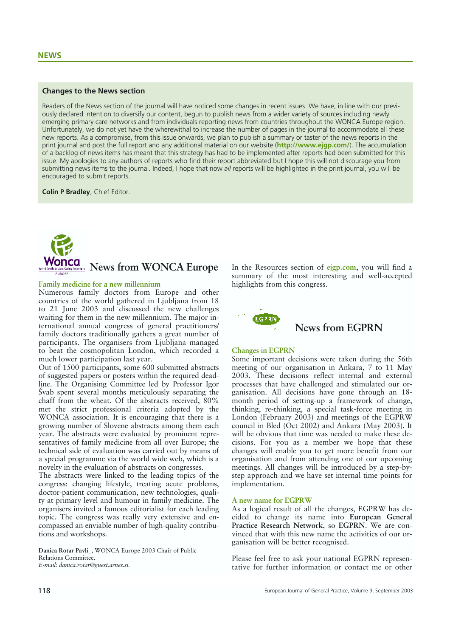## **Changes to the News section**

Readers of the News section of the journal will have noticed some changes in recent issues. We have, in line with our previously declared intention to diversify our content, begun to publish news from a wider variety of sources including newly emerging primary care networks and from individuals reporting news from countries throughout the WONCA Europe region. Unfortunately, we do not yet have the wherewithal to increase the number of pages in the journal to accommodate all these new reports. As a compromise, from this issue onwards, we plan to publish a summary or taster of the news reports in the print journal and post the full report and any additional material on our website (**http://www.ejgp.com/**). The accumulation of a backlog of news items has meant that this strategy has had to be implemented after reports had been submitted for this issue. My apologies to any authors of reports who find their report abbreviated but I hope this will not discourage you from submitting news items to the journal. Indeed, I hope that now *all* reports will be highlighted in the print journal, you will be encouraged to submit reports.

**Colin P Bradley**, Chief Editor.



### **Family medicine for a new millennium**

Numerous family doctors from Europe and other countries of the world gathered in Ljubljana from 18 to 21 June 2003 and discussed the new challenges waiting for them in the new millennium. The major international annual congress of general practitioners/ family doctors traditionally gathers a great number of participants. The organisers from Ljubljana managed to beat the cosmopolitan London, which recorded a much lower participation last year.

Out of 1500 participants, some 600 submitted abstracts of suggested papers or posters within the required deadline. The Organising Committee led by Professor Igor Švab spent several months meticulously separating the chaff from the wheat. Of the abstracts received, 80% met the strict professional criteria adopted by the WONCA association. It is encouraging that there is a growing number of Slovene abstracts among them each year. The abstracts were evaluated by prominent representatives of family medicine from all over Europe; the technical side of evaluation was carried out by means of a special programme via the world wide web, which is a novelty in the evaluation of abstracts on congresses.

The abstracts were linked to the leading topics of the congress: changing lifestyle, treating acute problems, doctor-patient communication, new technologies, quality at primary level and humour in family medicine. The organisers invited a famous editorialist for each leading topic. The congress was really very extensive and encompassed an enviable number of high-quality contributions and workshops.

**Danica Rotar Pavli\_,** WONCA Europe 2003 Chair of Public Relations Committee. *E-mail: danica.rotar@guest.arnes.si.*

In the Resources section of **ejgp.com**, you will find a summary of the most interesting and well-accepted highlights from this congress.



# **News from EGPRN**

### **Changes in EGPRN**

Some important decisions were taken during the 56th meeting of our organisation in Ankara, 7 to 11 May 2003. These decisions reflect internal and external processes that have challenged and stimulated our organisation. All decisions have gone through an 18 month period of setting-up a framework of change, thinking, re-thinking, a special task-force meeting in London (February 2003) and meetings of the EGPRW council in Bled (Oct 2002) and Ankara (May 2003). It will be obvious that time was needed to make these decisions. For you as a member we hope that these changes will enable you to get more benefit from our organisation and from attending one of our upcoming meetings. All changes will be introduced by a step-bystep approach and we have set internal time points for implementation.

### **A new name for EGPRW**

As a logical result of all the changes, EGPRW has decided to change its name into **European General Practice Research Network**, so **EGPRN**. We are convinced that with this new name the activities of our organisation will be better recognised.

Please feel free to ask your national EGPRN representative for further information or contact me or other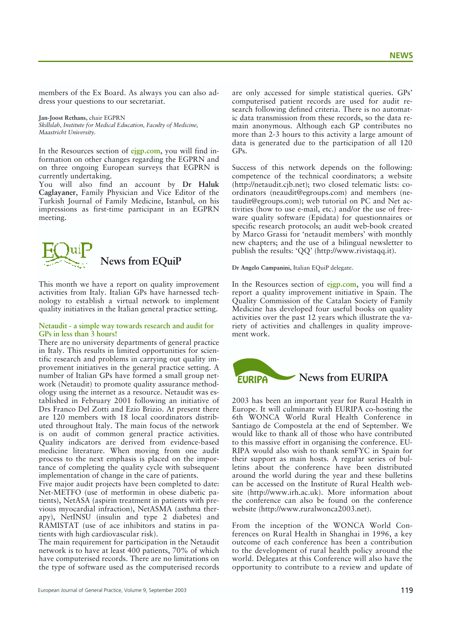members of the Ex Board. As always you can also address your questions to our secretariat.

**Jan-Joost Rethans,** chair EGPRN *Skillslab, Institute for Medical Education, Faculty of Medicine, Maastricht University.*

In the Resources section of **ejgp.com**, you will find information on other changes regarding the EGPRN and on three ongoing European surveys that EGPRN is currently undertaking.

You will also find an account by **Dr Haluk Caglayaner**, Family Physician and Vice Editor of the Turkish Journal of Family Medicine, Istanbul, on his impressions as first-time participant in an EGPRN meeting.



This month we have a report on quality improvement activities from Italy. Italian GPs have harnessed technology to establish a virtual network to implement quality initiatives in the Italian general practice setting.

## **Netaudit - a simple way towards research and audit for GPs in less than 3 hours!**

There are no university departments of general practice in Italy. This results in limited opportunities for scientific research and problems in carrying out quality improvement initiatives in the general practice setting. A number of Italian GPs have formed a small group network (Netaudit) to promote quality assurance methodology using the internet as a resource. Netaudit was established in February 2001 following an initiative of Drs Franco Del Zotti and Ezio Brizio. At present there are 120 members with 18 local coordinators distributed throughout Italy. The main focus of the network is on audit of common general practice activities. Quality indicators are derived from evidence-based medicine literature. When moving from one audit process to the next emphasis is placed on the importance of completing the quality cycle with subsequent implementation of change in the care of patients.

Five major audit projects have been completed to date: Net-METFO (use of metformin in obese diabetic patients), NetASA (aspirin treatment in patients with previous myocardial infraction), NetASMA (asthma therapy), NetINSU (insulin and type 2 diabetes) and RAMISTAT (use of ace inhibitors and statins in patients with high cardiovascular risk).

The main requirement for participation in the Netaudit network is to have at least 400 patients, 70% of which have computerised records. There are no limitations on the type of software used as the computerised records

are only accessed for simple statistical queries. GPs' computerised patient records are used for audit research following defined criteria. There is no automatic data transmission from these records, so the data remain anonymous. Although each GP contributes no more than 2-3 hours to this activity a large amount of data is generated due to the participation of all 120 GPs.

Success of this network depends on the following: competence of the technical coordinators; a website (http://netaudit.cjb.net); two closed telematic lists: coordinators (neaudit@egroups.com) and members (netaudit@egroups.com); web tutorial on PC and Net activities (how to use e-mail, etc.) and/or the use of freeware quality software (Epidata) for questionnaires or specific research protocols; an audit web-book created by Marco Grassi for 'netaudit members' with monthly new chapters; and the use of a bilingual newsletter to publish the results: 'QQ' (http://www.rivistaqq.it).

**Dr Angelo Campanini,** Italian EQuiP delegate.

In the Resources section of **ejgp.com**, you will find a report a quality improvement initiative in Spain. The Quality Commission of the Catalan Society of Family Medicine has developed four useful books on quality activities over the past 12 years which illustrate the variety of activities and challenges in quality improvement work.



2003 has been an important year for Rural Health in Europe. It will culminate with EURIPA co-hosting the 6th WONCA World Rural Health Conference in Santiago de Compostela at the end of September. We would like to thank all of those who have contributed to this massive effort in organising the conference. EU-RIPA would also wish to thank semFYC in Spain for their support as main hosts. A regular series of bulletins about the conference have been distributed around the world during the year and these bulletins can be accessed on the Institute of Rural Health website (http://www.irh.ac.uk). More information about the conference can also be found on the conference website (http://www.ruralwonca2003.net).

From the inception of the WONCA World Conferences on Rural Health in Shanghai in 1996, a key outcome of each conference has been a contribution to the development of rural health policy around the world. Delegates at this Conference will also have the opportunity to contribute to a review and update of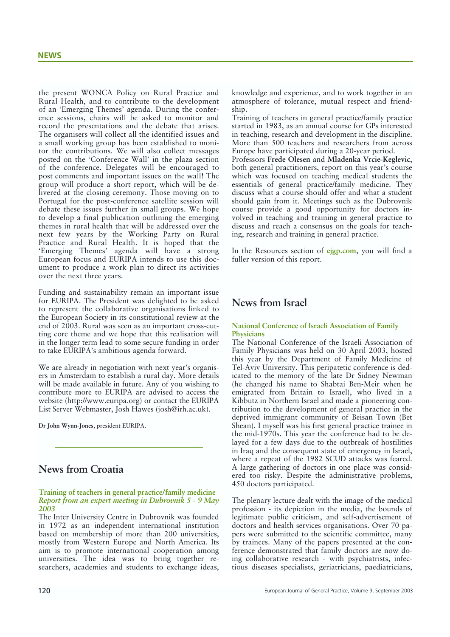the present WONCA Policy on Rural Practice and Rural Health, and to contribute to the development of an 'Emerging Themes' agenda. During the conference sessions, chairs will be asked to monitor and record the presentations and the debate that arises. The organisers will collect all the identified issues and a small working group has been established to monitor the contributions. We will also collect messages posted on the 'Conference Wall' in the plaza section of the conference. Delegates will be encouraged to post comments and important issues on the wall! The group will produce a short report, which will be delivered at the closing ceremony. Those moving on to Portugal for the post-conference satellite session will debate these issues further in small groups. We hope to develop a final publication outlining the emerging themes in rural health that will be addressed over the next few years by the Working Party on Rural Practice and Rural Health. It is hoped that the 'Emerging Themes' agenda will have a strong European focus and EURIPA intends to use this document to produce a work plan to direct its activities over the next three years.

Funding and sustainability remain an important issue for EURIPA. The President was delighted to be asked to represent the collaborative organisations linked to the European Society in its constitutional review at the end of 2003. Rural was seen as an important cross-cutting core theme and we hope that this realisation will in the longer term lead to some secure funding in order to take EURIPA's ambitious agenda forward.

We are already in negotiation with next year's organisers in Amsterdam to establish a rural day. More details will be made available in future. Any of you wishing to contribute more to EURIPA are advised to access the website (http://www.euripa.org) or contact the EURIPA List Server Webmaster, Josh Hawes (josh@irh.ac.uk).

**Dr John Wynn-Jones,** president EURIPA.

# **News from Croatia**

**Training of teachers in general practice/family medicine** *Report from an expert meeting in Dubrovnik 5 - 9 May 2003*

The Inter University Centre in Dubrovnik was founded in 1972 as an independent international institution based on membership of more than 200 universities, mostly from Western Europe and North America. Its aim is to promote international cooperation among universities. The idea was to bring together researchers, academies and students to exchange ideas,

knowledge and experience, and to work together in an atmosphere of tolerance, mutual respect and friendship.

Training of teachers in general practice/family practice started in 1983, as an annual course for GPs interested in teaching, research and development in the discipline. More than 500 teachers and researchers from across Europe have participated during a 20-year period.

Professors **Frede Olesen** and **Mladenka Vrcie-Keglevic**, both general practitioners, report on this year's course which was focused on teaching medical students the essentials of general practice/family medicine. They discuss what a course should offer and what a student should gain from it. Meetings such as the Dubrovnik course provide a good opportunity for doctors involved in teaching and training in general practice to discuss and reach a consensus on the goals for teaching, research and training in general practice.

In the Resources section of **ejgp.com**, you will find a fuller version of this report.

# **News from Israel**

## **National Conference of Israeli Association of Family Physicians**

The National Conference of the Israeli Association of Family Physicians was held on 30 April 2003, hosted this year by the Department of Family Medicine of Tel-Aviv University. This peripatetic conference is dedicated to the memory of the late Dr Sidney Newman (he changed his name to Shabtai Ben-Meir when he emigrated from Britain to Israel), who lived in a Kibbutz in Northern Israel and made a pioneering contribution to the development of general practice in the deprived immigrant community of Beisan Town (Bet Shean). I myself was his first general practice trainee in the mid-1970s. This year the conference had to be delayed for a few days due to the outbreak of hostilities in Iraq and the consequent state of emergency in Israel, where a repeat of the 1982 SCUD attacks was feared. A large gathering of doctors in one place was considered too risky. Despite the administrative problems, 450 doctors participated.

The plenary lecture dealt with the image of the medical profession - its depiction in the media, the bounds of legitimate public criticism, and self-advertisement of doctors and health services organisations. Over 70 papers were submitted to the scientific committee, many by trainees. Many of the papers presented at the conference demonstrated that family doctors are now doing collaborative research - with psychiatrists, infectious diseases specialists, geriatricians, paediatricians,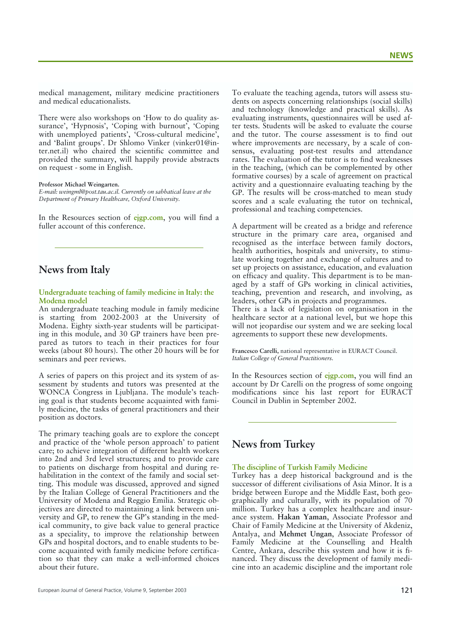medical management, military medicine practitioners and medical educationalists.

There were also workshops on 'How to do quality assurance', 'Hypnosis', 'Coping with burnout', 'Coping with unemployed patients', 'Cross-cultural medicine', and 'Balint groups'. Dr Shlomo Vinker (vinker01@inter.net.il) who chaired the scientific committee and provided the summary, will happily provide abstracts on request - some in English.

#### **Professor Michael Weingarten.**

*E-mail: weingml@post.tau.ac.il. Currently on sabbatical leave at the Department of Primary Healthcare, Oxford University.*

In the Resources section of **ejgp.com**, you will find a fuller account of this conference.

## **News from Italy**

### **Undergraduate teaching of family medicine in Italy: the Modena model**

An undergraduate teaching module in family medicine is starting from 2002-2003 at the University of Modena. Eighty sixth-year students will be participating in this module, and 30 GP trainers have been prepared as tutors to teach in their practices for four weeks (about 80 hours). The other 20 hours will be for seminars and peer reviews.

A series of papers on this project and its system of assessment by students and tutors was presented at the WONCA Congress in Ljubljana. The module's teaching goal is that students become acquainted with family medicine, the tasks of general practitioners and their position as doctors.

The primary teaching goals are to explore the concept and practice of the 'whole person approach' to patient care; to achieve integration of different health workers into 2nd and 3rd level structures; and to provide care to patients on discharge from hospital and during rehabilitation in the context of the family and social setting. This module was discussed, approved and signed by the Italian College of General Practitioners and the University of Modena and Reggio Emilia. Strategic objectives are directed to maintaining a link between university and GP, to renew the GP's standing in the medical community, to give back value to general practice as a speciality, to improve the relationship between GPs and hospital doctors, and to enable students to become acquainted with family medicine before certification so that they can make a well-informed choices about their future.

To evaluate the teaching agenda, tutors will assess students on aspects concerning relationships (social skills) and technology (knowledge and practical skills). As evaluating instruments, questionnaires will be used after tests. Students will be asked to evaluate the course and the tutor. The course assessment is to find out where improvements are necessary, by a scale of consensus, evaluating post-test results and attendance rates. The evaluation of the tutor is to find weaknesses in the teaching, (which can be complemented by other formative courses) by a scale of agreement on practical activity and a questionnaire evaluating teaching by the GP. The results will be cross-matched to mean study scores and a scale evaluating the tutor on technical, professional and teaching competencies.

A department will be created as a bridge and reference structure in the primary care area, organised and recognised as the interface between family doctors, health authorities, hospitals and university, to stimulate working together and exchange of cultures and to set up projects on assistance, education, and evaluation on efficacy and quality. This department is to be managed by a staff of GPs working in clinical activities, teaching, prevention and research, and involving, as leaders, other GPs in projects and programmes.

There is a lack of legislation on organisation in the healthcare sector at a national level, but we hope this will not jeopardise our system and we are seeking local agreements to support these new developments.

**Francesco Carelli,** national representative in EURACT Council. *Italian College of General Practitioners.*

In the Resources section of **ejgp.com**, you will find an account by Dr Carelli on the progress of some ongoing modifications since his last report for EURACT Council in Dublin in September 2002.

## **News from Turkey**

## **The discipline of Turkish Family Medicine**

Turkey has a deep historical background and is the successor of different civilisations of Asia Minor. It is a bridge between Europe and the Middle East, both geographically and culturally, with its population of 70 million. Turkey has a complex healthcare and insurance system. **Hakan Yaman**, Associate Professor and Chair of Family Medicine at the University of Akdeniz, Antalya, and **Mehmet Ungan**, Associate Professor of Family Medicine at the Counselling and Health Centre, Ankara, describe this system and how it is financed. They discuss the development of family medicine into an academic discipline and the important role